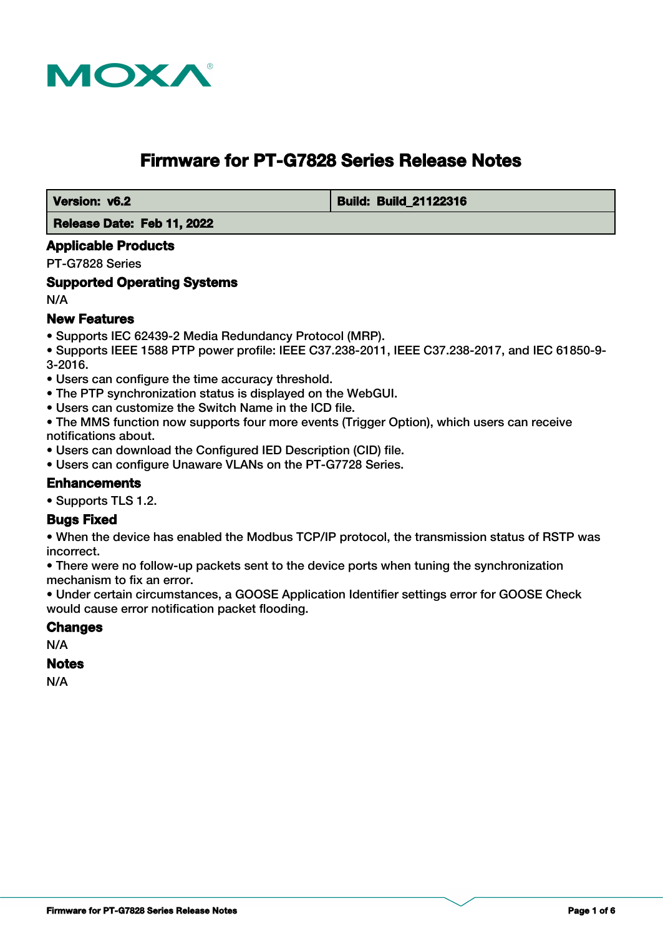

# **Firmware for PT-G7828 Series Release Notes**

 **Version: v6.2 Build: Build: Build: 21122316** 

 **Release Date: Feb 11, 2022**

#### **Applicable Products**

PT-G7828 Series

# **Supported Operating Systems**

N/A

# **New Features**

- Supports IEC 62439-2 Media Redundancy Protocol (MRP).
- Supports IEEE 1588 PTP power profile: IEEE C37.238-2011, IEEE C37.238-2017, and IEC 61850-9- 3-2016.
- Users can configure the time accuracy threshold.
- The PTP synchronization status is displayed on the WebGUI.
- Users can customize the Switch Name in the ICD file.
- The MMS function now supports four more events (Trigger Option), which users can receive notifications about.
- Users can download the Configured IED Description (CID) file.

• Users can configure Unaware VLANs on the PT-G7728 Series.

# **Enhancements**

• Supports TLS 1.2.

# **Bugs Fixed**

• When the device has enabled the Modbus TCP/IP protocol, the transmission status of RSTP was incorrect.

• There were no follow-up packets sent to the device ports when tuning the synchronization mechanism to fix an error.

• Under certain circumstances, a GOOSE Application Identifier settings error for GOOSE Check would cause error notification packet flooding.

# **Changes**

N/A

#### **Notes**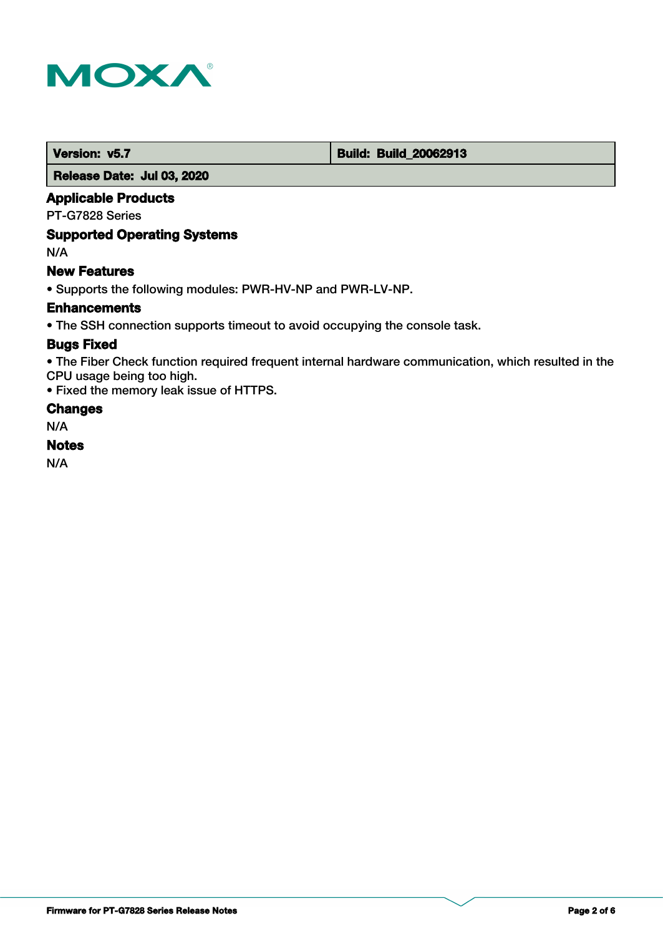

 **Version: v5.7 Build: Build: Build: 20062913** 

 **Release Date: Jul 03, 2020**

#### **Applicable Products**

PT-G7828 Series

# **Supported Operating Systems**

N/A

# **New Features**

• Supports the following modules: PWR-HV-NP and PWR-LV-NP.

# **Enhancements**

• The SSH connection supports timeout to avoid occupying the console task.

# **Bugs Fixed**

• The Fiber Check function required frequent internal hardware communication, which resulted in the CPU usage being too high.

• Fixed the memory leak issue of HTTPS.

# **Changes**

N/A

# **Notes**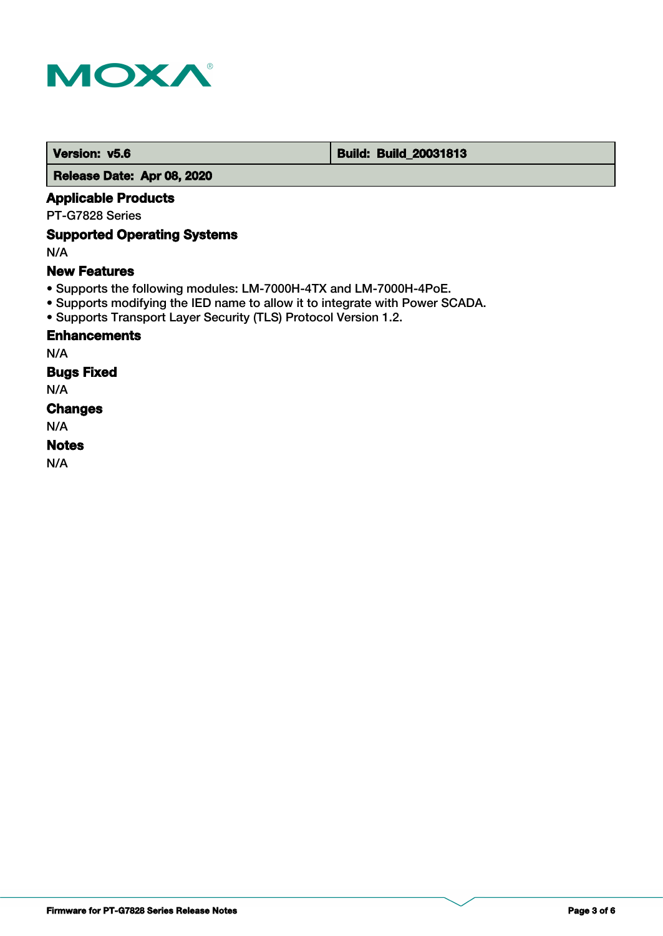

 **Version: v5.6 Build: Build: Build: 20031813** 

 **Release Date: Apr 08, 2020**

# **Applicable Products**

PT-G7828 Series

# **Supported Operating Systems**

N/A

# **New Features**

- Supports the following modules: LM-7000H-4TX and LM-7000H-4PoE.
- Supports modifying the IED name to allow it to integrate with Power SCADA.
- Supports Transport Layer Security (TLS) Protocol Version 1.2.

# **Enhancements**

N/A

**Bugs Fixed**

N/A

**Changes**

N/A

# **Notes**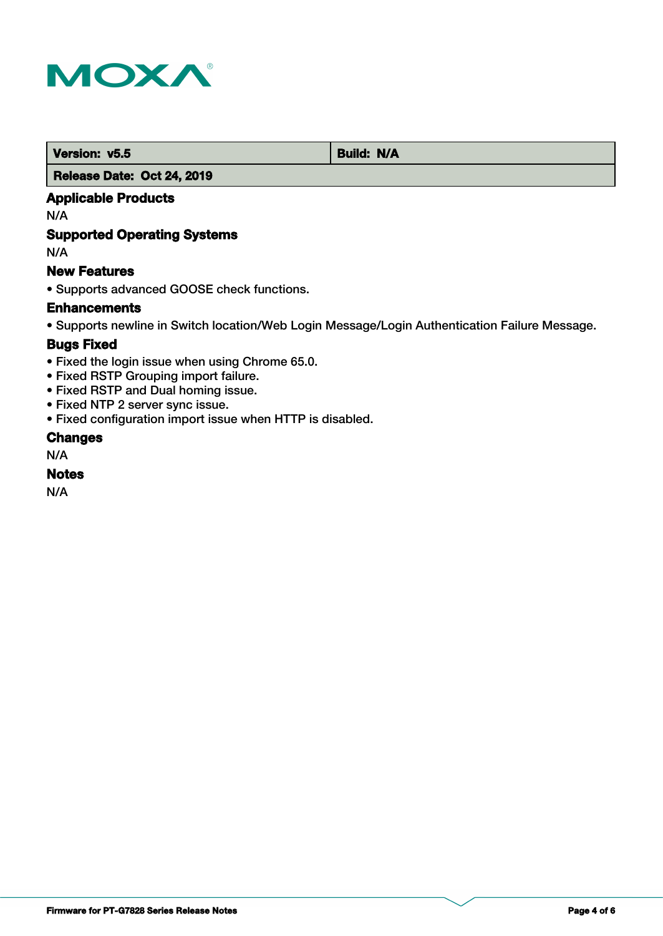

 **Version: v5.5 Build: N/A** 

## **Release Date: Oct 24, 2019**

# **Applicable Products**

N/A

# **Supported Operating Systems**

N/A

# **New Features**

• Supports advanced GOOSE check functions.

#### **Enhancements**

• Supports newline in Switch location/Web Login Message/Login Authentication Failure Message.

#### **Bugs Fixed**

- Fixed the login issue when using Chrome 65.0.
- Fixed RSTP Grouping import failure.
- Fixed RSTP and Dual homing issue.
- Fixed NTP 2 server sync issue.
- Fixed configuration import issue when HTTP is disabled.

#### **Changes**

N/A

# **Notes**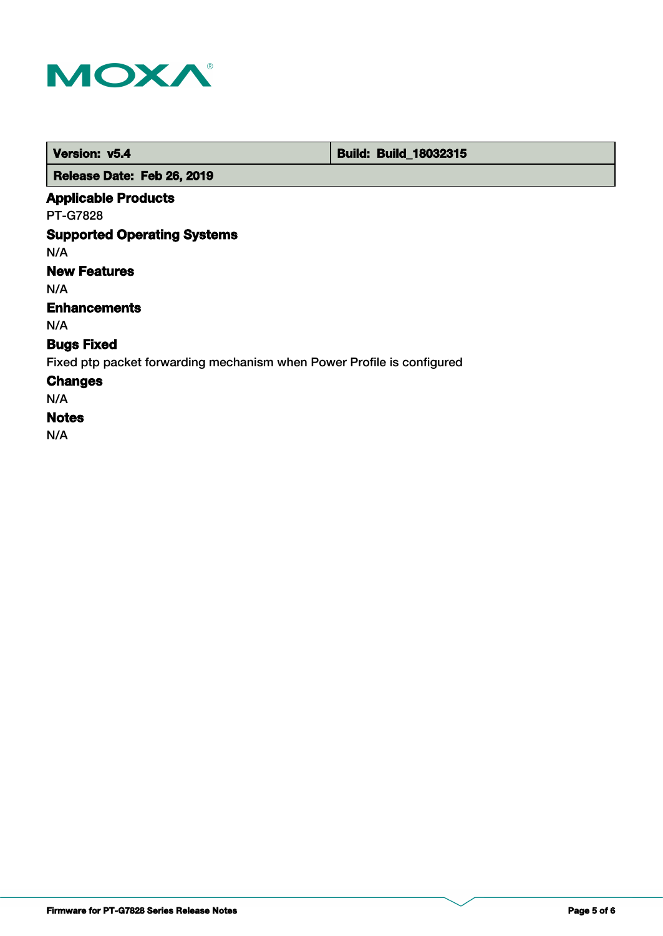

 **Version: v5.4 Build: Build: Build: 18032315** 

 **Release Date: Feb 26, 2019**

# **Applicable Products**

PT-G7828

# **Supported Operating Systems**

N/A

# **New Features**

N/A

# **Enhancements**

N/A

# **Bugs Fixed**

Fixed ptp packet forwarding mechanism when Power Profile is configured

# **Changes**

N/A

# **Notes**